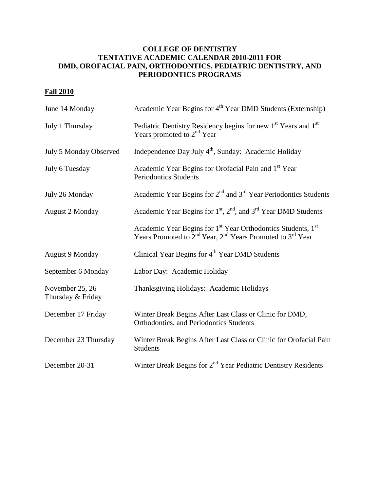## **COLLEGE OF DENTISTRY TENTATIVE ACADEMIC CALENDAR 2010-2011 FOR DMD, OROFACIAL PAIN, ORTHODONTICS, PEDIATRIC DENTISTRY, AND PERIODONTICS PROGRAMS**

## **Fall 2010**

| June 14 Monday                       | Academic Year Begins for 4 <sup>th</sup> Year DMD Students (Externship)                                                                                           |
|--------------------------------------|-------------------------------------------------------------------------------------------------------------------------------------------------------------------|
| July 1 Thursday                      | Pediatric Dentistry Residency begins for new 1 <sup>st</sup> Years and 1 <sup>st</sup><br>Years promoted to $2nd$ Year                                            |
| July 5 Monday Observed               | Independence Day July 4 <sup>th</sup> , Sunday: Academic Holiday                                                                                                  |
| July 6 Tuesday                       | Academic Year Begins for Orofacial Pain and 1st Year<br><b>Periodontics Students</b>                                                                              |
| July 26 Monday                       | Academic Year Begins for 2 <sup>nd</sup> and 3 <sup>rd</sup> Year Periodontics Students                                                                           |
| <b>August 2 Monday</b>               | Academic Year Begins for $1st$ , $2nd$ , and $3rd$ Year DMD Students                                                                                              |
|                                      | Academic Year Begins for 1 <sup>st</sup> Year Orthodontics Students, 1 <sup>st</sup><br>Years Promoted to $2^{nd}$ Year, $2^{nd}$ Years Promoted to $3^{rd}$ Year |
| <b>August 9 Monday</b>               | Clinical Year Begins for $4th$ Year DMD Students                                                                                                                  |
| September 6 Monday                   | Labor Day: Academic Holiday                                                                                                                                       |
| November 25, 26<br>Thursday & Friday | Thanksgiving Holidays: Academic Holidays                                                                                                                          |
| December 17 Friday                   | Winter Break Begins After Last Class or Clinic for DMD,<br>Orthodontics, and Periodontics Students                                                                |
| December 23 Thursday                 | Winter Break Begins After Last Class or Clinic for Orofacial Pain<br><b>Students</b>                                                                              |
| December 20-31                       | Winter Break Begins for 2 <sup>nd</sup> Year Pediatric Dentistry Residents                                                                                        |